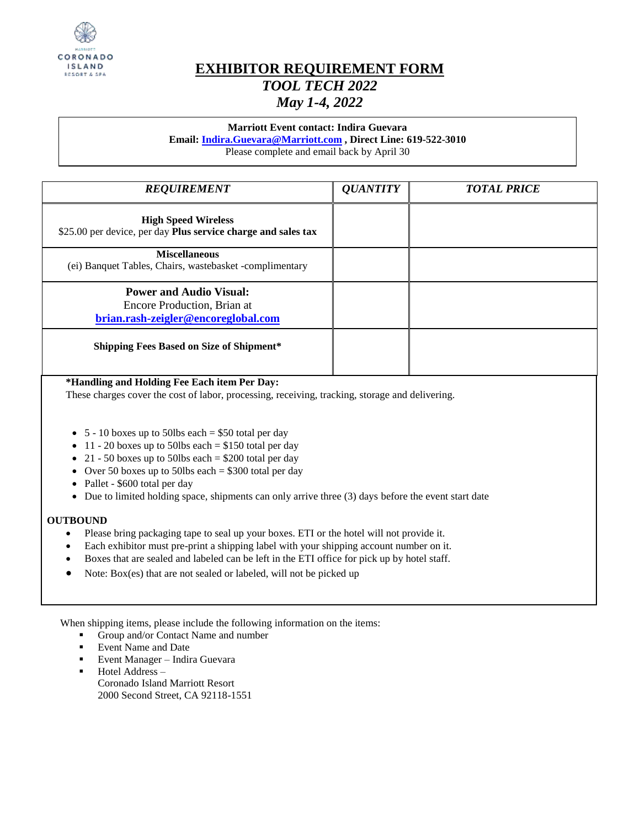

# **EXHIBITOR REQUIREMENT FORM** *TOOL TECH 2022 May 1-4, 2022*

## **Marriott Event contact: Indira Guevara**

**Email: [Indira.Guevara@Marriott.com](mailto:Indira.Guevara@Marriott.com) , Direct Line: 619-522-3010**

Please complete and email back by April 30

| <b>REQUIREMENT</b>                                                                                   | <b>QUANTITY</b> | <b>TOTAL PRICE</b> |
|------------------------------------------------------------------------------------------------------|-----------------|--------------------|
| <b>High Speed Wireless</b><br>\$25.00 per device, per day Plus service charge and sales tax          |                 |                    |
| <b>Miscellaneous</b><br>(ei) Banquet Tables, Chairs, wastebasket -complimentary                      |                 |                    |
| <b>Power and Audio Visual:</b><br>Encore Production, Brian at<br>brian.rash-zeigler@encoreglobal.com |                 |                    |
| <b>Shipping Fees Based on Size of Shipment*</b>                                                      |                 |                    |

## **\*Handling and Holding Fee Each item Per Day:**

These charges cover the cost of labor, processing, receiving, tracking, storage and delivering.

- $\bullet$  5 10 boxes up to 50lbs each = \$50 total per day
- $\bullet$  11 20 boxes up to 50lbs each = \$150 total per day
- 21 50 boxes up to 50lbs each =  $$200$  total per day
- Over 50 boxes up to 50lbs each  $= $300$  total per day
- Pallet \$600 total per day
- $\bullet$  Due to limited holding space, shipments can only arrive three (3) days before the event start date

#### **OUTBOUND**

- Please bring packaging tape to seal up your boxes. ETI or the hotel will not provide it.
- Each exhibitor must pre-print a shipping label with your shipping account number on it.
- Boxes that are sealed and labeled can be left in the ETI office for pick up by hotel staff.
- Note: Box(es) that are not sealed or labeled, will not be picked up

When shipping items, please include the following information on the items:

- Group and/or Contact Name and number
- Event Name and Date
- Event Manager Indira Guevara
- Hotel Address Coronado Island Marriott Resort 2000 Second Street, CA 92118-1551